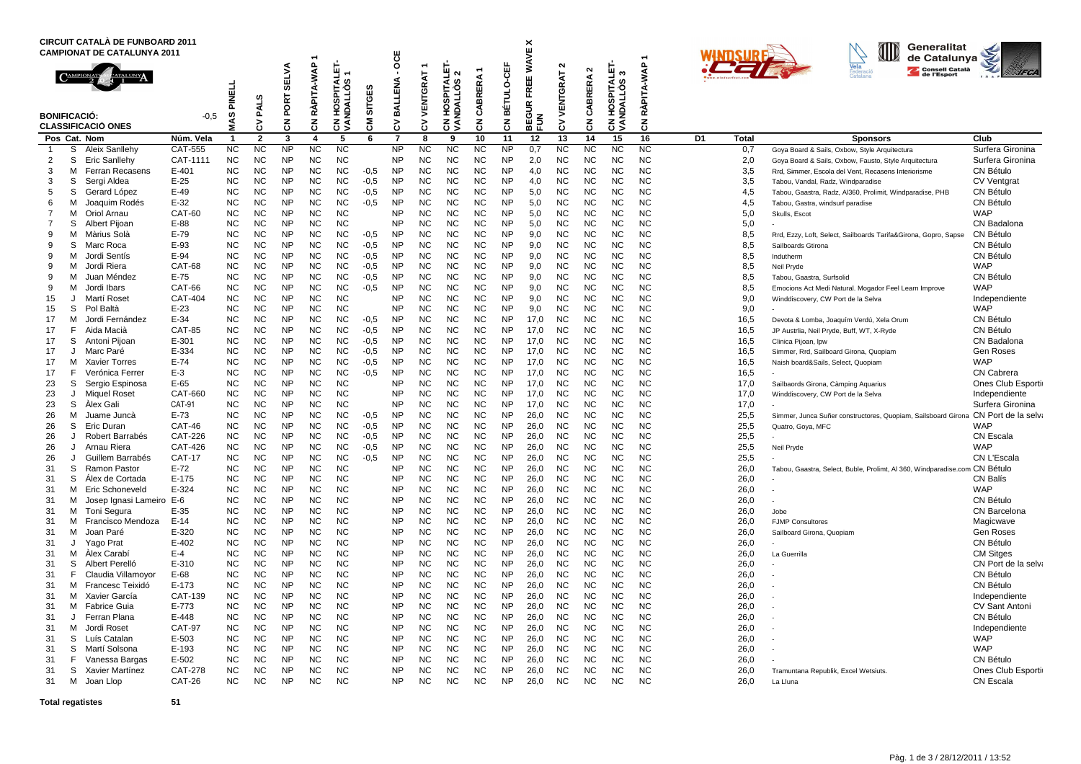| <b>CIRCUIT CATALA DE FUNBOARD 2011</b><br><b>CAMPIONAT DE CATALUNYA 2011</b>                                                                                                                                                                                                                                                                                                                                                                                                                                                                                                                                                                                                                                                                                                                                                                                                                                                                                                                                                                                                    |                                                                                                                                                                                                                                                                                                                                                                                                     |                                                                                                                                                                                                                                                                                                                                                                                                                                                                                               | ٠                                                                                                                                                                                                                                                                                                              |                                                                                                                                                                                                                                                                                                                                                                                                                                                                                               |                                                                                                                                                                                                                                                                                                                                                                                                                                                                                               | ö                                                                                                                                                                                                                                                                                                                                                                                                                                                                                             |                                                                                                                                                                                                                |                                                                                                                                                                                                                                                                                                                                                                               |                                                                                                                                                                                                                                                                                                                                                                                                                                                                                 |                                                                                                                                                                                                                                                                                                                                                                                                                                                                                               | ×<br>ш                                                                                                                                                                                                                                                                                                                                                                                                                                                                                        |                                                                                                                                                                                                                                                                                                                                                                                                                                                                                 |                                                                                                                                                                                                                                                                                      |                                                                                                                                                                                                                                                                                                                                                                                                                                                                      |                                                                                                                                                                                                                                                                                                                                                                                                                                                                                               |                                                                                                                                                                                                                                                                                                                                                                                                                                                                                               |                                                                                                                                                                                                                                                        | Generalitat<br>de Catalunya |                                                                                                                                                                                                                                                                                      |                                                                                                                                                                                                                                                                                                                                                                                                                                                                                                                                                                                                                                                                                                                                                                                                                                                                                                                                                                                                                                                                                                    |                                                                                                                                                                                                                                                                                                                                                                                                                                                                                                                                                                                                            |
|---------------------------------------------------------------------------------------------------------------------------------------------------------------------------------------------------------------------------------------------------------------------------------------------------------------------------------------------------------------------------------------------------------------------------------------------------------------------------------------------------------------------------------------------------------------------------------------------------------------------------------------------------------------------------------------------------------------------------------------------------------------------------------------------------------------------------------------------------------------------------------------------------------------------------------------------------------------------------------------------------------------------------------------------------------------------------------|-----------------------------------------------------------------------------------------------------------------------------------------------------------------------------------------------------------------------------------------------------------------------------------------------------------------------------------------------------------------------------------------------------|-----------------------------------------------------------------------------------------------------------------------------------------------------------------------------------------------------------------------------------------------------------------------------------------------------------------------------------------------------------------------------------------------------------------------------------------------------------------------------------------------|----------------------------------------------------------------------------------------------------------------------------------------------------------------------------------------------------------------------------------------------------------------------------------------------------------------|-----------------------------------------------------------------------------------------------------------------------------------------------------------------------------------------------------------------------------------------------------------------------------------------------------------------------------------------------------------------------------------------------------------------------------------------------------------------------------------------------|-----------------------------------------------------------------------------------------------------------------------------------------------------------------------------------------------------------------------------------------------------------------------------------------------------------------------------------------------------------------------------------------------------------------------------------------------------------------------------------------------|-----------------------------------------------------------------------------------------------------------------------------------------------------------------------------------------------------------------------------------------------------------------------------------------------------------------------------------------------------------------------------------------------------------------------------------------------------------------------------------------------|----------------------------------------------------------------------------------------------------------------------------------------------------------------------------------------------------------------|-------------------------------------------------------------------------------------------------------------------------------------------------------------------------------------------------------------------------------------------------------------------------------------------------------------------------------------------------------------------------------|---------------------------------------------------------------------------------------------------------------------------------------------------------------------------------------------------------------------------------------------------------------------------------------------------------------------------------------------------------------------------------------------------------------------------------------------------------------------------------|-----------------------------------------------------------------------------------------------------------------------------------------------------------------------------------------------------------------------------------------------------------------------------------------------------------------------------------------------------------------------------------------------------------------------------------------------------------------------------------------------|-----------------------------------------------------------------------------------------------------------------------------------------------------------------------------------------------------------------------------------------------------------------------------------------------------------------------------------------------------------------------------------------------------------------------------------------------------------------------------------------------|---------------------------------------------------------------------------------------------------------------------------------------------------------------------------------------------------------------------------------------------------------------------------------------------------------------------------------------------------------------------------------------------------------------------------------------------------------------------------------|--------------------------------------------------------------------------------------------------------------------------------------------------------------------------------------------------------------------------------------------------------------------------------------|----------------------------------------------------------------------------------------------------------------------------------------------------------------------------------------------------------------------------------------------------------------------------------------------------------------------------------------------------------------------------------------------------------------------------------------------------------------------|-----------------------------------------------------------------------------------------------------------------------------------------------------------------------------------------------------------------------------------------------------------------------------------------------------------------------------------------------------------------------------------------------------------------------------------------------------------------------------------------------|-----------------------------------------------------------------------------------------------------------------------------------------------------------------------------------------------------------------------------------------------------------------------------------------------------------------------------------------------------------------------------------------------------------------------------------------------------------------------------------------------|--------------------------------------------------------------------------------------------------------------------------------------------------------------------------------------------------------------------------------------------------------|-----------------------------|--------------------------------------------------------------------------------------------------------------------------------------------------------------------------------------------------------------------------------------------------------------------------------------|----------------------------------------------------------------------------------------------------------------------------------------------------------------------------------------------------------------------------------------------------------------------------------------------------------------------------------------------------------------------------------------------------------------------------------------------------------------------------------------------------------------------------------------------------------------------------------------------------------------------------------------------------------------------------------------------------------------------------------------------------------------------------------------------------------------------------------------------------------------------------------------------------------------------------------------------------------------------------------------------------------------------------------------------------------------------------------------------------|------------------------------------------------------------------------------------------------------------------------------------------------------------------------------------------------------------------------------------------------------------------------------------------------------------------------------------------------------------------------------------------------------------------------------------------------------------------------------------------------------------------------------------------------------------------------------------------------------------|
| <b>BONIFICACIÓ:</b><br><b>CLASSIFICACIÓ ONES</b>                                                                                                                                                                                                                                                                                                                                                                                                                                                                                                                                                                                                                                                                                                                                                                                                                                                                                                                                                                                                                                | $-0.5$                                                                                                                                                                                                                                                                                                                                                                                              | PINELI<br>9y<br>Σ                                                                                                                                                                                                                                                                                                                                                                                                                                                                             | ဖာ<br>PAL <sup>3</sup><br>><br>ن                                                                                                                                                                                                                                                                               | <b>SELVA</b><br>PORT<br>중                                                                                                                                                                                                                                                                                                                                                                                                                                                                     | RÀPITA-WAP<br>중                                                                                                                                                                                                                                                                                                                                                                                                                                                                               | PITALET<br>s<br>۰O<br>ဖာ<br>⊼<br>S<br>웊<br>중<br>⋖                                                                                                                                                                                                                                                                                                                                                                                                                                             | SITGES<br>ξ                                                                                                                                                                                                    | BALLENA<br>3                                                                                                                                                                                                                                                                                                                                                                  | VENTGRAT<br>3                                                                                                                                                                                                                                                                                                                                                                                                                                                                   | ⊡<br>٤<br>PITA<br>ဖာ<br>۰O<br><b>NDALL</b><br>U.<br>ğ<br>ह ड्र                                                                                                                                                                                                                                                                                                                                                                                                                                | ERA<br>岛<br>రే<br>$\overline{5}$                                                                                                                                                                                                                                                                                                                                                                                                                                                              | $0 - CEF$<br>BÉTUL<br>$\overline{5}$                                                                                                                                                                                                                                                                                                                                                                                                                                            | Š<br>ш<br>画<br>Ē<br>ĸ<br>3<br>$\frac{2}{5}$<br>ц<br>w                                                                                                                                                                                                                                | $\sim$<br><b>NTGRAT</b><br>₽<br>3                                                                                                                                                                                                                                                                                                                                                                                                                                    | N<br>CABRERA<br>중                                                                                                                                                                                                                                                                                                                                                                                                                                                                             | 9<br>S<br>∢ ທ<br>호크<br>인<br>w<br>es<br>≌<br>z<br>हुडू                                                                                                                                                                                                                                                                                                                                                                                                                                         | PITA-WAP<br>ৰূ<br>중                                                                                                                                                                                                                                    |                             |                                                                                                                                                                                                                                                                                      | Vela<br>Consell Català<br>de l'Esport                                                                                                                                                                                                                                                                                                                                                                                                                                                                                                                                                                                                                                                                                                                                                                                                                                                                                                                                                                                                                                                              | <b>AFCA</b>                                                                                                                                                                                                                                                                                                                                                                                                                                                                                                                                                                                                |
| Pos Cat. Nom                                                                                                                                                                                                                                                                                                                                                                                                                                                                                                                                                                                                                                                                                                                                                                                                                                                                                                                                                                                                                                                                    | Núm. Vela                                                                                                                                                                                                                                                                                                                                                                                           | -1                                                                                                                                                                                                                                                                                                                                                                                                                                                                                            | $\overline{2}$                                                                                                                                                                                                                                                                                                 | 3                                                                                                                                                                                                                                                                                                                                                                                                                                                                                             | 4                                                                                                                                                                                                                                                                                                                                                                                                                                                                                             | 5                                                                                                                                                                                                                                                                                                                                                                                                                                                                                             | 6                                                                                                                                                                                                              | $\overline{7}$                                                                                                                                                                                                                                                                                                                                                                | -8                                                                                                                                                                                                                                                                                                                                                                                                                                                                              | 9                                                                                                                                                                                                                                                                                                                                                                                                                                                                                             | 10                                                                                                                                                                                                                                                                                                                                                                                                                                                                                            | 11                                                                                                                                                                                                                                                                                                                                                                                                                                                                              | 12                                                                                                                                                                                                                                                                                   | 13                                                                                                                                                                                                                                                                                                                                                                                                                                                                   | 14                                                                                                                                                                                                                                                                                                                                                                                                                                                                                            | 15                                                                                                                                                                                                                                                                                                                                                                                                                                                                                            | 16                                                                                                                                                                                                                                                     | D1                          | Total                                                                                                                                                                                                                                                                                | <b>Sponsors</b>                                                                                                                                                                                                                                                                                                                                                                                                                                                                                                                                                                                                                                                                                                                                                                                                                                                                                                                                                                                                                                                                                    | Club                                                                                                                                                                                                                                                                                                                                                                                                                                                                                                                                                                                                       |
| S<br>$\overline{1}$<br>Aleix Sanllehy<br>2<br>S<br>Eric Sanllehy<br>3<br>Ferran Recasens<br>м<br>3<br>S<br>Sergi Aldea<br>5<br>S<br>Gerard López<br>6<br>Joaquim Rodés<br>м<br>м<br>Oriol Arnau<br>7<br>$\overline{7}$<br>S<br>Albert Pijoan<br>9<br>м<br>Màrius Solà<br>S<br>Marc Roca<br>9<br>9<br>Jordi Sentís<br>м<br>Jordi Riera<br>9<br>м<br>9<br>Juan Méndez<br>M<br>9<br>м<br>Jordi Ibars<br>15<br>Martí Roset<br>J<br>S<br>Pol Baltà<br>15<br>17<br>M<br>Jordi Fernández<br>F.<br>Aida Macià<br>17<br>17<br>S<br>Antoni Pijoan<br>Marc Paré<br>17<br>J<br>17<br>м<br><b>Xavier Torres</b><br>17<br>F<br>Verónica Ferrer<br>23<br>S<br>Sergio Espinosa<br>23<br><b>Miguel Roset</b><br>J<br>S<br>Alex Gali<br>23<br>26<br>м<br>Juame Juncà<br>26<br>S<br>Eric Duran<br>Robert Barrabés<br>26<br>J<br>Arnau Riera<br>26<br>J<br>Guillem Barrabés<br>26<br>J<br>S<br>Ramon Pastor<br>31<br>S<br>Alex de Cortada<br>31<br>M Eric Schoneveld<br>31<br>Josep Ignasi Lameiro E-6<br>31<br>м<br>м<br>Toni Segura<br>31<br>Francisco Mendoza<br>31<br>м<br>Joan Paré<br>31<br>м | CAT-555<br>CAT-1111<br>E-401<br>$E-25$<br>$E-49$<br>$E-32$<br>CAT-60<br>E-88<br>E-79<br>E-93<br>$E-94$<br>CAT-68<br>E-75<br>CAT-66<br>CAT-404<br>$E-23$<br>$E-34$<br><b>CAT-85</b><br>$E - 301$<br>E-334<br>$E-74$<br>$E-3$<br>$E-65$<br>CAT-660<br><b>CAT-91</b><br>$E-73$<br><b>CAT-46</b><br>CAT-226<br><b>CAT-426</b><br><b>CAT-17</b><br>$E-72$<br>E-175<br>E-324<br>$E-35$<br>$E-14$<br>E-320 | <b>NC</b><br><b>NC</b><br><b>NC</b><br><b>NC</b><br><b>NC</b><br><b>NC</b><br><b>NC</b><br><b>NC</b><br><b>NC</b><br><b>NC</b><br><b>NC</b><br><b>NC</b><br><b>NC</b><br><b>NC</b><br><b>NC</b><br><b>NC</b><br><b>NC</b><br><b>NC</b><br><b>NC</b><br><b>NC</b><br><b>NC</b><br><b>NC</b><br><b>NC</b><br><b>NC</b><br><b>NC</b><br><b>NC</b><br><b>NC</b><br><b>NC</b><br><b>NC</b><br><b>NC</b><br><b>NC</b><br><b>NC</b><br><b>NC</b><br><b>NC</b><br><b>NC</b><br><b>NC</b><br><b>NC</b> | <b>NC</b><br><b>NC</b><br>NC<br>NC<br>ΝC<br><b>NC</b><br>ΝC<br>ΝC<br><b>NC</b><br>NC<br><b>NC</b><br>NC<br>ΝC<br><b>NC</b><br>ΝC<br>NC<br><b>NC</b><br>NC<br><b>NC</b><br>NC<br>NC<br><b>NC</b><br>NC<br>ΝC<br>NC<br>ΝC<br><b>NC</b><br>ΝC<br>NC<br><b>NC</b><br>NC<br>ΝC<br>NC<br>ΝC<br><b>NC</b><br>ΝC<br>NC | <b>NP</b><br><b>NP</b><br><b>NP</b><br><b>NP</b><br><b>NP</b><br><b>NP</b><br><b>NP</b><br><b>NP</b><br><b>NP</b><br><b>NP</b><br><b>NP</b><br><b>NP</b><br><b>NP</b><br><b>NP</b><br><b>NP</b><br><b>NP</b><br><b>NP</b><br><b>NP</b><br><b>NP</b><br><b>NP</b><br><b>NP</b><br><b>NP</b><br><b>NP</b><br><b>NP</b><br><b>NP</b><br><b>NP</b><br><b>NP</b><br><b>NP</b><br><b>NP</b><br><b>NP</b><br><b>NP</b><br><b>NP</b><br><b>NP</b><br><b>NP</b><br><b>NP</b><br><b>NP</b><br><b>NP</b> | <b>NC</b><br><b>NC</b><br><b>NC</b><br><b>NC</b><br><b>NC</b><br><b>NC</b><br><b>NC</b><br><b>NC</b><br><b>NC</b><br><b>NC</b><br><b>NC</b><br><b>NC</b><br><b>NC</b><br><b>NC</b><br><b>NC</b><br><b>NC</b><br><b>NC</b><br><b>NC</b><br><b>NC</b><br><b>NC</b><br><b>NC</b><br><b>NC</b><br><b>NC</b><br><b>NC</b><br><b>NC</b><br><b>NC</b><br><b>NC</b><br><b>NC</b><br><b>NC</b><br><b>NC</b><br><b>NC</b><br><b>NC</b><br><b>NC</b><br><b>NC</b><br><b>NC</b><br><b>NC</b><br><b>NC</b> | <b>NC</b><br><b>NC</b><br><b>NC</b><br><b>NC</b><br><b>NC</b><br><b>NC</b><br><b>NC</b><br><b>NC</b><br><b>NC</b><br><b>NC</b><br><b>NC</b><br><b>NC</b><br><b>NC</b><br><b>NC</b><br><b>NC</b><br><b>NC</b><br><b>NC</b><br><b>NC</b><br><b>NC</b><br><b>NC</b><br><b>NC</b><br><b>NC</b><br><b>NC</b><br><b>NC</b><br><b>NC</b><br><b>NC</b><br><b>NC</b><br><b>NC</b><br><b>NC</b><br><b>NC</b><br><b>NC</b><br><b>NC</b><br><b>NC</b><br><b>NC</b><br><b>NC</b><br><b>NC</b><br><b>NC</b> | $-0.5$<br>$-0.5$<br>$-0.5$<br>$-0,5$<br>$-0.5$<br>$-0.5$<br>$-0.5$<br>$-0,5$<br>$-0.5$<br>$-0,5$<br>$-0.5$<br>$-0.5$<br>$-0,5$<br>$-0.5$<br>$-0.5$<br>$-0,5$<br>$-0.5$<br>$-0.5$<br>$-0.5$<br>$-0.5$<br>$-0.5$ | <b>NP</b><br><b>NP</b><br>NP<br>NP<br><b>NP</b><br><b>NP</b><br>NP<br>NP<br><b>NP</b><br><b>NP</b><br>NP<br>NP<br><b>NP</b><br><b>NP</b><br>NP<br><b>NP</b><br><b>NP</b><br><b>NP</b><br>NP<br><b>NP</b><br>NP<br>NP<br><b>NP</b><br>NP<br><b>NP</b><br><b>NP</b><br><b>NP</b><br>NP<br>NP<br>NP<br><b>NP</b><br>NP<br><b>NP</b><br>NP<br><b>NP</b><br><b>NP</b><br><b>NP</b> | <b>NC</b><br><b>NC</b><br><b>NC</b><br><b>NC</b><br><b>NC</b><br><b>NC</b><br><b>NC</b><br><b>NC</b><br><b>NC</b><br><b>NC</b><br><b>NC</b><br><b>NC</b><br><b>NC</b><br><b>NC</b><br><b>NC</b><br>ΝC<br><b>NC</b><br><b>NC</b><br><b>NC</b><br><b>NC</b><br><b>NC</b><br><b>NC</b><br><b>NC</b><br><b>NC</b><br><b>NC</b><br><b>NC</b><br><b>NC</b><br><b>NC</b><br><b>NC</b><br><b>NC</b><br><b>NC</b><br><b>NC</b><br><b>NC</b><br><b>NC</b><br><b>NC</b><br><b>NC</b><br>ΝC | <b>NC</b><br><b>NC</b><br><b>NC</b><br><b>NC</b><br><b>NC</b><br><b>NC</b><br><b>NC</b><br><b>NC</b><br><b>NC</b><br><b>NC</b><br><b>NC</b><br><b>NC</b><br><b>NC</b><br><b>NC</b><br><b>NC</b><br><b>NC</b><br><b>NC</b><br><b>NC</b><br><b>NC</b><br><b>NC</b><br><b>NC</b><br><b>NC</b><br><b>NC</b><br><b>NC</b><br><b>NC</b><br><b>NC</b><br><b>NC</b><br><b>NC</b><br><b>NC</b><br><b>NC</b><br><b>NC</b><br><b>NC</b><br><b>NC</b><br><b>NC</b><br><b>NC</b><br><b>NC</b><br><b>NC</b> | <b>NC</b><br><b>NC</b><br><b>NC</b><br><b>NC</b><br><b>NC</b><br><b>NC</b><br><b>NC</b><br><b>NC</b><br><b>NC</b><br><b>NC</b><br><b>NC</b><br><b>NC</b><br><b>NC</b><br><b>NC</b><br><b>NC</b><br><b>NC</b><br><b>NC</b><br><b>NC</b><br><b>NC</b><br><b>NC</b><br><b>NC</b><br><b>NC</b><br><b>NC</b><br><b>NC</b><br><b>NC</b><br><b>NC</b><br><b>NC</b><br><b>NC</b><br><b>NC</b><br><b>NC</b><br><b>NC</b><br><b>NC</b><br><b>NC</b><br><b>NC</b><br><b>NC</b><br><b>NC</b><br><b>NC</b> | <b>NP</b><br><b>NP</b><br><b>NP</b><br><b>NP</b><br><b>NP</b><br><b>NP</b><br><b>NP</b><br><b>NP</b><br><b>NP</b><br><b>NP</b><br><b>NP</b><br>NP<br><b>NP</b><br><b>NP</b><br><b>NP</b><br><b>NP</b><br><b>NP</b><br><b>NP</b><br><b>NP</b><br>NP<br><b>NP</b><br><b>NP</b><br><b>NP</b><br><b>NP</b><br><b>NP</b><br><b>NP</b><br><b>NP</b><br><b>NP</b><br><b>NP</b><br><b>NP</b><br><b>NP</b><br><b>NP</b><br><b>NP</b><br><b>NP</b><br><b>NP</b><br><b>NP</b><br><b>NP</b> | 0,7<br>2,0<br>4,0<br>4,0<br>5,0<br>5,0<br>5,0<br>5,0<br>9,0<br>9,0<br>9,0<br>9,0<br>9,0<br>9,0<br>9,0<br>9,0<br>17,0<br>17,0<br>17,0<br>17,0<br>17,0<br>17,0<br>17,0<br>17,0<br>17,0<br>26,0<br>26,0<br>26,0<br>26,0<br>26,0<br>26,0<br>26,0<br>26,0<br>26,0<br>26,0<br>26,0<br>26,0 | <b>NC</b><br><b>NC</b><br>NC.<br><b>NC</b><br><b>NC</b><br><b>NC</b><br><b>NC</b><br><b>NC</b><br><b>NC</b><br><b>NC</b><br>NC<br><b>NC</b><br><b>NC</b><br><b>NC</b><br><b>NC</b><br><b>NC</b><br><b>NC</b><br><b>NC</b><br><b>NC</b><br><b>NC</b><br><b>NC</b><br>NC.<br><b>NC</b><br><b>NC</b><br><b>NC</b><br>NC.<br><b>NC</b><br><b>NC</b><br><b>NC</b><br><b>NC</b><br><b>NC</b><br><b>NC</b><br><b>NC</b><br><b>NC</b><br><b>NC</b><br><b>NC</b><br><b>NC</b> | <b>NC</b><br><b>NC</b><br><b>NC</b><br><b>NC</b><br><b>NC</b><br><b>NC</b><br><b>NC</b><br><b>NC</b><br><b>NC</b><br><b>NC</b><br><b>NC</b><br><b>NC</b><br><b>NC</b><br><b>NC</b><br><b>NC</b><br><b>NC</b><br><b>NC</b><br><b>NC</b><br><b>NC</b><br><b>NC</b><br><b>NC</b><br><b>NC</b><br><b>NC</b><br><b>NC</b><br><b>NC</b><br><b>NC</b><br><b>NC</b><br><b>NC</b><br><b>NC</b><br><b>NC</b><br><b>NC</b><br><b>NC</b><br><b>NC</b><br><b>NC</b><br><b>NC</b><br><b>NC</b><br><b>NC</b> | <b>NC</b><br><b>NC</b><br><b>NC</b><br><b>NC</b><br><b>NC</b><br><b>NC</b><br><b>NC</b><br><b>NC</b><br><b>NC</b><br><b>NC</b><br><b>NC</b><br><b>NC</b><br><b>NC</b><br><b>NC</b><br><b>NC</b><br><b>NC</b><br><b>NC</b><br><b>NC</b><br><b>NC</b><br><b>NC</b><br><b>NC</b><br><b>NC</b><br><b>NC</b><br><b>NC</b><br><b>NC</b><br><b>NC</b><br><b>NC</b><br><b>NC</b><br><b>NC</b><br><b>NC</b><br><b>NC</b><br><b>NC</b><br><b>NC</b><br><b>NC</b><br><b>NC</b><br><b>NC</b><br><b>NC</b> | <b>NC</b><br><b>NC</b><br><b>NC</b><br>NC<br>NC<br><b>NC</b><br>NC<br>NC<br>NC<br>NC<br>NC<br>NC<br>ΝC<br>NC<br>NC<br>NC<br>ΝC<br>NC<br>NC<br>NC<br>NC<br>NC<br>NC<br>ΝC<br>NC<br>ΝC<br>NC<br>NC<br>NC<br>NC<br>NC<br>NC<br>NC<br>ΝC<br>NC<br>NC<br>NC |                             | 0,7<br>2,0<br>3,5<br>3,5<br>4,5<br>4,5<br>5,0<br>5,0<br>8,5<br>8,5<br>8,5<br>8,5<br>8,5<br>8,5<br>9,0<br>9,0<br>16,5<br>16,5<br>16,5<br>16,5<br>16,5<br>16,5<br>17,0<br>17,0<br>17,0<br>25,5<br>25,5<br>25,5<br>25,5<br>25,5<br>26,0<br>26,0<br>26,0<br>26,0<br>26,0<br>26,0<br>26,0 | Goya Board & Sails, Oxbow, Style Arquitectura<br>Goya Board & Sails, Oxbow, Fausto, Style Arquitectura<br>Rrd, Simmer, Escola del Vent, Recasens Interiorisme<br>Tabou, Vandal, Radz, Windparadise<br>Tabou, Gaastra, Radz, Al360, Prolimit, Windparadise, PHB<br>Tabou, Gastra, windsurf paradise<br>Skulls, Escot<br>Rrd, Ezzy, Loft, Select, Sailboards Tarifa&Girona, Gopro, Sapse<br>Sailboards Gtirona<br>Indutherm<br>Neil Pryde<br>Tabou, Gaastra, Surfsolid<br>Emocions Act Medi Natural. Mogador Feel Learn Improve<br>Winddiscovery, CW Port de la Selva<br>Devota & Lomba, Joaquím Verdú, Xela Orum<br>JP Austrlia, Neil Pryde, Buff, WT, X-Ryde<br>Clinica Pijoan, Ipw<br>Simmer, Rrd, Sailboard Girona, Quopiam<br>Naish board&Sails, Select, Quopian<br>Sailbaords Girona, Càmping Aquarius<br>Winddiscovery, CW Port de la Selva<br>Simmer, Junca Suñer constructores, Quopiam, Sailsboard Girona<br>Quatro, Goya, MFC<br>Neil Pryde<br>Tabou, Gaastra, Select, Buble, Prolimt, AI 360, Windparadise.com CN Bétulc<br>Jobe<br><b>FJMP Consultores</b><br>Sailboard Girona, Quopiam | Surfera Gironina<br>Surfera Gironina<br>CN Bétulo<br><b>CV Ventgrat</b><br>CN Bétulo<br><b>CN Bétulo</b><br><b>WAP</b><br>CN Badalona<br><b>CN Bétulo</b><br>CN Bétulo<br>CN Bétulo<br><b>WAP</b><br><b>CN Bétulo</b><br><b>WAP</b><br>Independiente<br><b>WAP</b><br><b>CN Bétulo</b><br>CN Bétulo<br>CN Badalona<br>Gen Roses<br><b>WAP</b><br><b>CN Cabrera</b><br>Ones Club Esporti<br>Independiente<br>Surfera Gironina<br>CN Port de la selva<br><b>WAP</b><br>CN Escala<br><b>WAP</b><br>CN L'Escala<br><b>CN Balís</b><br><b>WAP</b><br><b>CN Bétulo</b><br>CN Barcelona<br>Magicwave<br>Gen Roses |
| Yago Prat<br>31<br>J<br>м<br>Alex Carabí<br>31<br>S<br>Albert Perelló<br>31<br>Claudia Villamovor<br>31<br>F<br>Francesc Teixidó<br>31<br>м<br>м<br>Xavier García<br>31<br>Fabrice Guia<br>31<br>м<br>Ferran Plana<br>31<br>J<br>M Jordi Roset<br>31<br>S Luís Catalan<br>31<br>S Martí Solsona<br>31<br>F Vanessa Bargas<br>31<br>S Xavier Martínez<br>31<br>M Joan Llop<br>31                                                                                                                                                                                                                                                                                                                                                                                                                                                                                                                                                                                                                                                                                                 | $E-402$<br>$E-4$<br>E-310<br>E-68<br>$E-173$<br>CAT-139<br>$E - 773$<br>E-448<br><b>CAT-97</b><br>E-503<br>E-193<br>E-502<br><b>CAT-278</b><br>CAT-26                                                                                                                                                                                                                                               | <b>NC</b><br><b>NC</b><br><b>NC</b><br><b>NC</b><br><b>NC</b><br><b>NC</b><br>NC<br><b>NC</b><br><b>NC</b><br><b>NC</b><br><b>NC</b><br>NC<br><b>NC</b><br><b>NC</b>                                                                                                                                                                                                                                                                                                                          | <b>NC</b><br>NC<br><b>NC</b><br>NC<br>ΝC<br><b>NC</b><br>NC.<br>NC<br><b>NC</b><br><b>NC</b><br><b>NC</b><br>NC<br><b>NC</b><br>NC.                                                                                                                                                                            | <b>NP</b><br><b>NP</b><br><b>NP</b><br><b>NP</b><br><b>NP</b><br><b>NP</b><br><b>NP</b><br><b>NP</b><br><b>NP</b><br><b>NP</b><br><b>NP</b><br><b>NP</b><br>NP<br><b>NP</b>                                                                                                                                                                                                                                                                                                                   | <b>NC</b><br><b>NC</b><br><b>NC</b><br><b>NC</b><br><b>NC</b><br><b>NC</b><br>NC.<br><b>NC</b><br><b>NC</b><br>NC<br><b>NC</b><br>NC<br>NC.<br>NC.                                                                                                                                                                                                                                                                                                                                            | <b>NC</b><br><b>NC</b><br><b>NC</b><br><b>NC</b><br><b>NC</b><br><b>NC</b><br>NC.<br><b>NC</b><br><b>NC</b><br>NC<br><b>NC</b><br><b>NC</b><br><b>NC</b><br><b>NC</b>                                                                                                                                                                                                                                                                                                                         |                                                                                                                                                                                                                | <b>NP</b><br><b>NP</b><br>NP<br>NP<br>NP<br><b>NP</b><br>NP<br><b>NP</b><br><b>NP</b><br>NP<br><b>NP</b><br>NP<br><b>NP</b><br>NP                                                                                                                                                                                                                                             | <b>NC</b><br><b>NC</b><br><b>NC</b><br><b>NC</b><br><b>NC</b><br><b>NC</b><br>ΝC<br>NC<br><b>NC</b><br><b>NC</b><br><b>NC</b><br><b>NC</b><br>NC<br><b>NC</b>                                                                                                                                                                                                                                                                                                                   | <b>NC</b><br><b>NC</b><br><b>NC</b><br><b>NC</b><br><b>NC</b><br><b>NC</b><br><b>NC</b><br>NC.<br><b>NC</b><br><b>NC</b><br><b>NC</b><br><b>NC</b><br>NC.<br>NC.                                                                                                                                                                                                                                                                                                                              | <b>NC</b><br><b>NC</b><br><b>NC</b><br><b>NC</b><br><b>NC</b><br><b>NC</b><br>ΝC<br>NC<br>NC<br>NC<br>NC<br>NC<br>NC<br>NC                                                                                                                                                                                                                                                                                                                                                                    | <b>NP</b><br><b>NP</b><br><b>NP</b><br><b>NP</b><br><b>NP</b><br><b>NP</b><br>NP.<br><b>NP</b><br><b>NP</b><br><b>NP</b><br><b>NP</b><br><b>NP</b><br><b>NP</b><br>NP                                                                                                                                                                                                                                                                                                           | 26,0<br>26,0<br>26,0<br>26,0<br>26,0<br>26,0<br>26,0<br>26,0<br>26,0<br>26,0<br>26,0<br>26,0<br>26,0<br>26,0                                                                                                                                                                         | <b>NC</b><br><b>NC</b><br><b>NC</b><br><b>NC</b><br>NC.<br><b>NC</b><br>NC.<br><b>NC</b><br><b>NC</b><br><b>NC</b><br><b>NC</b><br><b>NC</b><br>NC<br><b>NC</b>                                                                                                                                                                                                                                                                                                      | <b>NC</b><br><b>NC</b><br><b>NC</b><br><b>NC</b><br>NC<br><b>NC</b><br>NC<br><b>NC</b><br><b>NC</b><br><b>NC</b><br><b>NC</b><br>NC<br>NC<br>NC                                                                                                                                                                                                                                                                                                                                               | <b>NC</b><br><b>NC</b><br><b>NC</b><br><b>NC</b><br><b>NC</b><br><b>NC</b><br><b>NC</b><br><b>NC</b><br><b>NC</b><br><b>NC</b><br><b>NC</b><br><b>NC</b><br><b>NC</b><br><b>NC</b>                                                                                                                                                                                                                                                                                                            | NC<br>NC<br><b>NC</b><br>NC<br>ΝC<br>NC<br>NC.<br><b>NC</b><br><b>NC</b><br><b>NC</b><br><b>NC</b><br><b>NC</b><br>NC<br><b>NC</b>                                                                                                                     |                             | 26,0<br>26,0<br>26,0<br>26,0<br>26,0<br>26,0<br>26,0<br>26,0<br>26,0<br>26,0<br>26,0<br>26,0<br>26,0<br>26,0                                                                                                                                                                         | La Guerrilla<br>Tramuntana Republik, Excel Wetsiuts.<br>La Lluna                                                                                                                                                                                                                                                                                                                                                                                                                                                                                                                                                                                                                                                                                                                                                                                                                                                                                                                                                                                                                                   | CN Bétulo<br><b>CM Sitges</b><br>CN Port de la selva<br>CN Bétulo<br><b>CN Bétulo</b><br>Independiente<br>CV Sant Antoni<br>CN Bétulo<br>Independiente<br><b>WAP</b><br><b>WAP</b><br>CN Bétulo<br>Ones Club Esporti<br>CN Escala                                                                                                                                                                                                                                                                                                                                                                          |
| <b>Total regatistes</b>                                                                                                                                                                                                                                                                                                                                                                                                                                                                                                                                                                                                                                                                                                                                                                                                                                                                                                                                                                                                                                                         | 51                                                                                                                                                                                                                                                                                                                                                                                                  |                                                                                                                                                                                                                                                                                                                                                                                                                                                                                               |                                                                                                                                                                                                                                                                                                                |                                                                                                                                                                                                                                                                                                                                                                                                                                                                                               |                                                                                                                                                                                                                                                                                                                                                                                                                                                                                               |                                                                                                                                                                                                                                                                                                                                                                                                                                                                                               |                                                                                                                                                                                                                |                                                                                                                                                                                                                                                                                                                                                                               |                                                                                                                                                                                                                                                                                                                                                                                                                                                                                 |                                                                                                                                                                                                                                                                                                                                                                                                                                                                                               |                                                                                                                                                                                                                                                                                                                                                                                                                                                                                               |                                                                                                                                                                                                                                                                                                                                                                                                                                                                                 |                                                                                                                                                                                                                                                                                      |                                                                                                                                                                                                                                                                                                                                                                                                                                                                      |                                                                                                                                                                                                                                                                                                                                                                                                                                                                                               |                                                                                                                                                                                                                                                                                                                                                                                                                                                                                               |                                                                                                                                                                                                                                                        |                             |                                                                                                                                                                                                                                                                                      |                                                                                                                                                                                                                                                                                                                                                                                                                                                                                                                                                                                                                                                                                                                                                                                                                                                                                                                                                                                                                                                                                                    |                                                                                                                                                                                                                                                                                                                                                                                                                                                                                                                                                                                                            |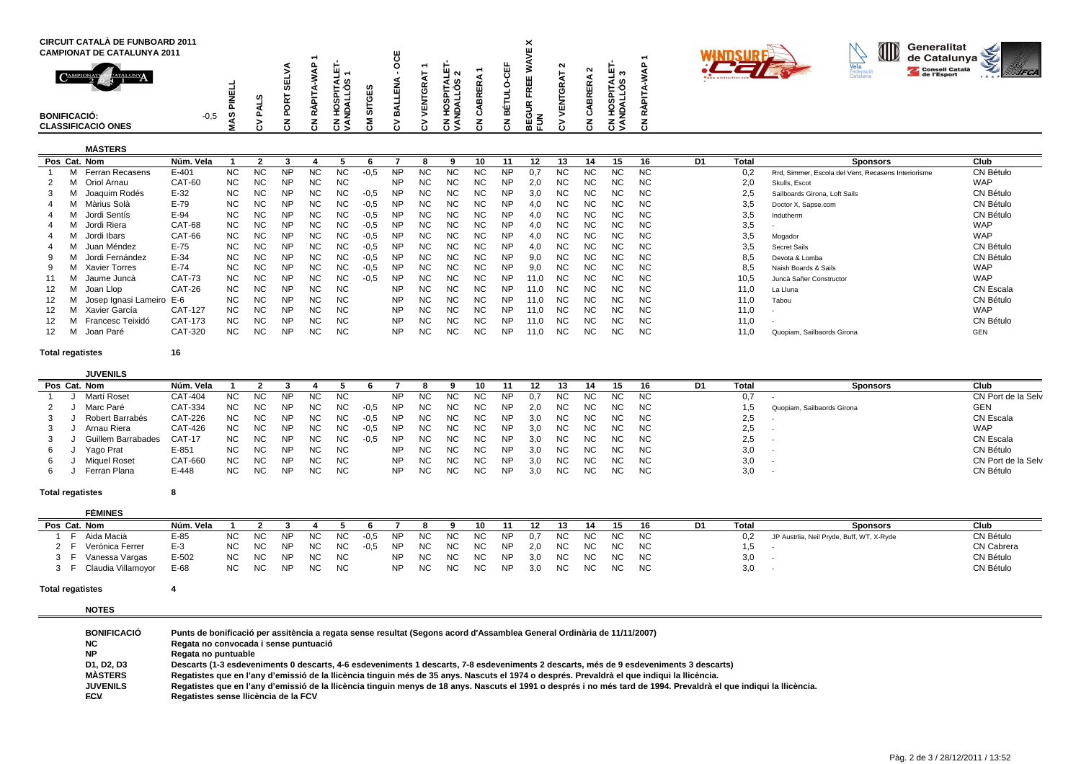| <b>CIRCUIT CATALÀ DE FUNBOARD 2011</b><br><b>CAMPIONAT DE CATALUNYA 2011</b><br>$\bigcap_{\text{AMP}}$<br>CATALUNY<br><b>BONIFICACIÓ:</b> | $-0,5$<br>ທ | u. | ⊢ ∿<br>- | -<br>ш<br>ш |   | ิ<br>ທ<br>ທ ≓<br>ᆂᄛ | ≃ | ۰ш<br>≃      | $\check{ }$<br>⌒<br>. . | $\sim$ | ш | - 67<br>. . | - |  | ID | Generalitat<br>de Catalunya<br>Consell Català | Ś<br>⋗ |  |
|-------------------------------------------------------------------------------------------------------------------------------------------|-------------|----|----------|-------------|---|---------------------|---|--------------|-------------------------|--------|---|-------------|---|--|----|-----------------------------------------------|--------|--|
| <b>CLASSIFICACIÓ ONES</b>                                                                                                                 |             |    | د ن      | ن           | ە | خ ن                 |   | $\mathbf{c}$ | ר ש<br>மட               |        |   | د ن         |   |  |    |                                               |        |  |

## **MÀSTERS**

| Pos Cat. Nom             | Núm. Vela     |           |           |           |     |           |        |           |           |           | 10        |           | 12   |           | 14   | 15        | 16        | D1 | Total | <b>Sponsors</b>                                     | Club       |
|--------------------------|---------------|-----------|-----------|-----------|-----|-----------|--------|-----------|-----------|-----------|-----------|-----------|------|-----------|------|-----------|-----------|----|-------|-----------------------------------------------------|------------|
| Ferran Recasens          | E-401         | NC.       | <b>NC</b> | <b>NP</b> | NС  | NC.       | $-0.5$ | <b>NP</b> | <b>NC</b> | NС        | <b>NC</b> | NP        |      | NC.       | NC.  | <b>NC</b> | NC.       |    | 0.2   | Rrd, Simmer, Escola del Vent, Recasens Interiorisme | CN Bétulo  |
| Oriol Arnau              | CAT-60        | NC.       | <b>NC</b> | <b>NP</b> | NC. | <b>NC</b> |        | NP        | <b>NC</b> | ΝC        | ΝC        | <b>NP</b> | 2.0  | ΝC        | ΝC   | ΝC        | NC.       |    | 2,0   | Skulls, Escot                                       | <b>WAP</b> |
| Joaquim Rodés            | $E-32$        | NC.       | <b>NC</b> | <b>NP</b> | NC. | NC.       | $-0.5$ | NP        | NC.       | ΝC        | ΝC        | <b>NP</b> | 3.0  | <b>NC</b> | NC.  | ΝC        | <b>NC</b> |    | 2.5   | Sailboards Girona, Loft Sails                       | CN Bétulo  |
| Màrius Solà              | $E-79$        | NC.       | <b>NC</b> | <b>NP</b> | NC. | NC.       | $-0.5$ | <b>NP</b> | <b>NC</b> | NC.       | NC.       | <b>NP</b> | 4,0  | <b>NC</b> | NC.  | ΝC        | NC.       |    | 3,5   | Doctor X, Sapse.com                                 | CN Bétulo  |
| Jordi Sentís             | $E-94$        | NC.       | <b>NC</b> | <b>NP</b> | NC. | NC.       | $-0.5$ | NP        | NC.       | NC.       | NC.       | <b>NP</b> | 4.0  | NC.       | NC.  | NC.       | NC.       |    | 3,5   | Indutherm                                           | CN Bétulo  |
| Jordi Riera              | CAT-68        | NC.       | <b>NC</b> | <b>NP</b> | NC. | NC.       | $-0.5$ | NP        | NC.       | <b>NC</b> | <b>NC</b> | NP        | 4.0  | NC.       | NC.  | ΝC        | NC.       |    | 3,5   |                                                     | <b>WAP</b> |
| Jordi Ibars              | CAT-66        | NC.       | <b>NC</b> | <b>NP</b> | NC. | NC.       | $-0.5$ | NP        | NC.       | NC.       | ΝC        | <b>NP</b> | 4.0  | NC.       | NC.  | ΝC        | NC.       |    | 3,5   | Mogador                                             | <b>WAP</b> |
| Juan Méndez              | $E-75$        | <b>NC</b> | <b>NC</b> | <b>NP</b> | NC. | <b>NC</b> | $-0.5$ | <b>NP</b> | NC.       | ΝC        | NC.       | <b>NP</b> | 4.0  | NC.       | NC.  | ΝC        | NC.       |    | 3,5   | <b>Secret Sails</b>                                 | CN Bétulo  |
| Jordi Fernández          | $E-34$        | NC.       | <b>NC</b> | <b>NP</b> | NC. | NC.       | $-0.5$ | <b>NP</b> | NC.       | ΝC        | NC.       | <b>NP</b> | 9.0  | NC.       | NC.  | NС        | NC.       |    | 8,5   | Devota & Lomba                                      | CN Bétulo  |
| <b>Xavier Torres</b>     | $E-74$        | NC.       | <b>NC</b> | <b>NP</b> | NC. | NC.       | $-0.5$ | NP        | NC.       | ΝC        | <b>NC</b> | <b>NP</b> | 9.0  | <b>NC</b> | ΝC   | ΝC        | <b>NC</b> |    | 8,5   | Naish Boards & Sails                                | <b>WAP</b> |
| Jaume Juncà              | <b>CAT-73</b> | <b>NC</b> | <b>NC</b> | <b>NP</b> | NC. | NC        | $-0.5$ | NP        | <b>NC</b> | NC.       | <b>NC</b> | <b>NP</b> | 11.0 | <b>NC</b> | NC.  | ΝC        | NC.       |    | 10,5  | Juncà Sañer Constructor                             | <b>WAP</b> |
| Joan Llop                | CAT-26        | NC.       | <b>NC</b> | <b>NP</b> | NC. | NC.       |        | NP.       | <b>NC</b> | NC.       | NC.       | <b>NP</b> | 11.0 | NC.       | NC.  | NC.       | NC.       |    | 11,0  | La Lluna                                            | CN Escala  |
| Josep Ignasi Lameiro E-6 |               | NC.       | <b>NC</b> | <b>NP</b> | NC. | NC.       |        | NP        | NC.       | NC.       | NC.       | <b>NP</b> | 11.0 | NC.       | NC . | ΝC        | NC.       |    | 11,0  | Tabou                                               | CN Bétulo  |
| Xavier García            | CAT-127       | NC.       | <b>NC</b> | <b>NP</b> | NC. | <b>NC</b> |        | <b>NP</b> | NC.       | ΝC        | ΝC        | <b>NP</b> | 11.0 | <b>NC</b> | NC.  | ΝC        | NC.       |    | 11,0  |                                                     | <b>WAP</b> |
| Francesc Teixidó         | CAT-173       | NC.       | <b>NC</b> | <b>NP</b> | NC. | NC.       |        | <b>NP</b> | NC.       | NC.       | ΝC        | <b>NP</b> | 11.0 | <b>NC</b> | NC.  | ΝC        | NC.       |    | 11,0  |                                                     | CN Bétulo  |
| Joan Paré                | CAT-320       | NC.       | <b>NC</b> | <b>NP</b> | ΝC  | <b>NC</b> |        | NP        | NC.       | NC        | <b>NC</b> | <b>NP</b> | 11,0 | <b>NC</b> | NC.  | ΝC        | <b>NC</b> |    | 11,0  | Quopiam, Sailbaords Girona                          | GEN        |

**Total regatistes**

**<sup>16</sup>**

|    | <b>JUVENILS</b>     |                |           |           |           |           |           |        |           |     |     |     |           |     |     |     |     |           |            |                            |                    |
|----|---------------------|----------------|-----------|-----------|-----------|-----------|-----------|--------|-----------|-----|-----|-----|-----------|-----|-----|-----|-----|-----------|------------|----------------------------|--------------------|
|    | Pos Cat. Nom        | Núm. Vela      |           |           |           |           |           |        |           |     |     |     |           |     |     |     |     |           | Tota       | Sponsors                   | Club               |
|    | Martí Roset         | CAT-404        | <b>NC</b> | ΝC        | NΡ        | ΝC        | <b>NC</b> |        | <b>NP</b> | NC. | ΝC  |     | ΝP        | 0.7 | NC. | NC. | ΝC  | NC.       | 0,7        |                            | CN Port de la Selv |
|    | Marc Paré           | CAT-334        | <b>NC</b> | <b>NC</b> | <b>NP</b> | NC.       | NC.       | $-0.5$ | NP.       | NC. | NC. | NC. | <b>NP</b> | 2.0 | NC. | NC. | NC. | NC        |            | Quopiam, Sailbaords Girona | <b>GEN</b>         |
| 3  | Robert Barrabés     | <b>CAT-226</b> | NC.       | NC.       | <b>NP</b> | NC.       | NC.       | $-0.5$ | <b>NP</b> | NC. | NC. | NC. | NP        | 3.0 | NC. | NC. | NC. | NC.       | 2,5        |                            | CN Escala          |
|    | Arnau Riera         | CAT-426        | <b>NC</b> | <b>NC</b> | <b>NP</b> | <b>NC</b> | NC.       | -0.5   | NP.       | NC. | NC. | NC. | NP        | 3.0 | NC. | NC. | NC. | NC.       | າ ຂ<br>د.2 |                            | <b>WAP</b>         |
|    | Guillem Barrabades  | <b>CAT-17</b>  | <b>NC</b> | NC.       | <b>NP</b> | NC        | NC.       | $-0,5$ | NP.       | NC. | ΝC  | ΝC  | ΝP        | 3.0 | NC. | NC. | ΝC  | NC.       | 2,5        |                            | CN Escala          |
| 6. | Yago Prat           | $E - 851$      | NC.       | NC.       | <b>NP</b> | NC.       | <b>NC</b> |        | <b>NP</b> | NC. | NC. | NC. | NP        | 3.0 | NC. | NC. | NC. | NC.       | 3,0        |                            | CN Bétulo          |
| 6  | <b>Miquel Roset</b> | CAT-660        | <b>NC</b> | <b>NC</b> | <b>NP</b> | <b>NC</b> | <b>NC</b> |        | NP.       | NC  | ΝC  | ΝC  | <b>NP</b> | 3.0 | NC. | NC. | ΝC  | <b>NC</b> | 3,0        |                            | CN Port de la Selv |
| b  | Ferran Plana        | E-448          | NC.       | NC.       | <b>NP</b> | <b>NC</b> | <b>NC</b> |        | NP.       | NC. | ΝC  | NC  | ΝP        | 3,0 | NC. | NC. | NC. | <b>NC</b> | 3,0        |                            | CN Bétulo          |

## **Total regatistes<sup>8</sup>**

| <b>FÈMINES</b>       |           |     |           |           |           |           |        |           |     |     |     |           |     |           |     |     |           |    |       |                                           |            |
|----------------------|-----------|-----|-----------|-----------|-----------|-----------|--------|-----------|-----|-----|-----|-----------|-----|-----------|-----|-----|-----------|----|-------|-------------------------------------------|------------|
| Pos Cat. Nom         | Núm. Vela |     |           |           |           |           |        |           |     |     |     |           |     |           |     | 15  | 16        | D1 | Tota. | <b>Sponsors</b>                           | Club       |
| Aida Macià           | $E-85$    | NC. | NC        | <b>NP</b> | NC        | NC.       | $-0.5$ | NP        | NC  | NC. | NC. | <b>NP</b> | 0.7 | <b>NC</b> | NC. | NC. | <b>NC</b> |    | 0.2   | JP Austrlia, Neil Pryde, Buff, WT, X-Ryde | CN Bétulo  |
| Verónica Ferrer      | $E-3$     | NC. | NC        | <b>NF</b> | NC.       | <b>NC</b> | $-0.5$ | <b>NP</b> | NC. | NC. | NC. | <b>NP</b> | 2.0 | NC.       | NC. | NC. | <b>NC</b> |    | .     |                                           | CN Cabrera |
| Vanessa Vargas       | $E - 502$ | NC  | NC        | <b>NP</b> | <b>NC</b> | NC        |        | <b>NP</b> | NC  | NC. | NC. | <b>NP</b> | 3.0 | NC.       | NC. | NC. | <b>NC</b> |    | 3,0   |                                           | CN Bétulo  |
| F Claudia Villamoyor | E-68      | NC. | <b>NC</b> | <b>NP</b> | <b>NC</b> | <b>NC</b> |        | <b>NP</b> | NC. | NC. | NC. | <b>NP</b> | 3,0 | NC.       | NC  | NC  | <b>NC</b> |    | 3,0   |                                           | CN Bétulo  |

## **Total regatistes<sup>4</sup>**

**NOTES**

| <b>BONIFICACIÓ</b> | Punts de bonificació per assitència a regata sense resultat (Segons acord d'Assamblea General Ordinària de 11/11/2007)                                              |
|--------------------|---------------------------------------------------------------------------------------------------------------------------------------------------------------------|
| NC.                | Regata no convocada i sense puntuació                                                                                                                               |
| <b>NP</b>          | Regata no puntuable                                                                                                                                                 |
| D1. D2. D3         | Descarts (1-3 esdeveniments 0 descarts, 4-6 esdeveniments 1 descarts, 7-8 esdeveniments 2 descarts, més de 9 esdeveniments 3 descarts)                              |
| <b>MÁSTERS</b>     | Regatistes que en l'any d'emissió de la llicència tinguin més de 35 anys. Nascuts el 1974 o després. Prevaldrà el que indigui la llicència.                         |
| <b>JUVENILS</b>    | Regatistes que en l'any d'emissió de la Ilicència tinguin menys de 18 anys. Nascuts el 1991 o després i no més tard de 1994. Prevaldrà el que indiqui la Ilicència. |
| <b>FCV</b>         | Regatistes sense Ilicència de la FCV                                                                                                                                |